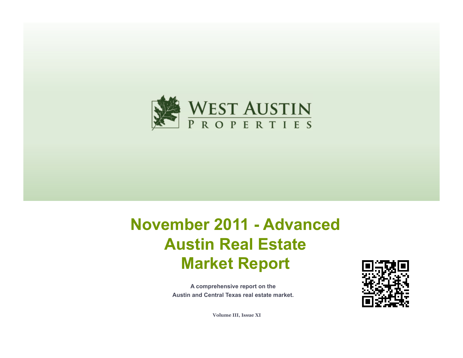

# **November 2011 - Advanced Austin Real Estate Market Report**

**A comprehensive report on the Austin and Central Texas real estate market.**



**Volume III, Issue XI**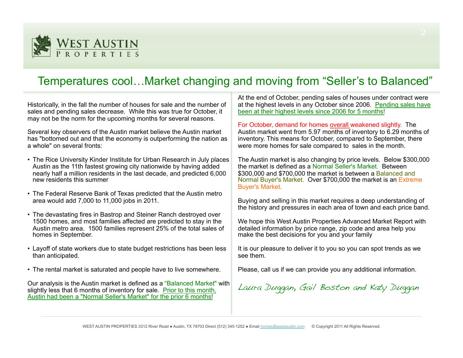

# Temperatures cool…Market changing and moving from "Seller's to Balanced"

Historically, in the fall the number of houses for sale and the number of sales and pending sales decrease. While this was true for October, it may not be the norm for the upcoming months for several reasons.

Several key observers of the Austin market believe the Austin market has "bottomed out and that the economy is outperforming the nation as a whole" on several fronts:

- The Rice University Kinder Institute for Urban Research in July places Austin as the 11th fastest growing city nationwide by having added nearly half a million residents in the last decade, and predicted 6,000 new residents this summer
- The Federal Reserve Bank of Texas predicted that the Austin metro area would add 7,000 to 11,000 jobs in 2011.
- The devastating fires in Bastrop and Steiner Ranch destroyed over 1500 homes, and most families affected are predicted to stay in the Austin metro area. 1500 families represent 25% of the total sales of homes in September.
- Layoff of state workers due to state budget restrictions has been less than anticipated.
- The rental market is saturated and people have to live somewhere.

Our analysis is the Austin market is defined as a "Balanced Market" with slightly less that 6 months of inventory for sale. Prior to this month, Austin had been a "Normal Seller's Market" for the prior 6 months!

At the end of October, pending sales of houses under contract were at the highest levels in any October since 2006. Pending sales have been at their highest levels since 2006 for 5 months!

For October, demand for homes overall weakened slightly. The Austin market went from 5.97 months of inventory to 6.29 months of inventory. This means for October, compared to September, there were more homes for sale compared to sales in the month.

The Austin market is also changing by price levels. Below \$300,000 the market is defined as a Normal Seller's Market. Between \$300,000 and \$700,000 the market is between a Balanced and Normal Buyer's Market. Over \$700,000 the market is an Extreme Buyer's Market.

Buying and selling in this market requires a deep understanding of the history and pressures in each area of town and each price band.

We hope this West Austin Properties Advanced Market Report with detailed information by price range, zip code and area help you make the best decisions for you and your family

It is our pleasure to deliver it to you so you can spot trends as we see them.

Please, call us if we can provide you any additional information.

Laura Duggan, Gail Boston and Katy Duggan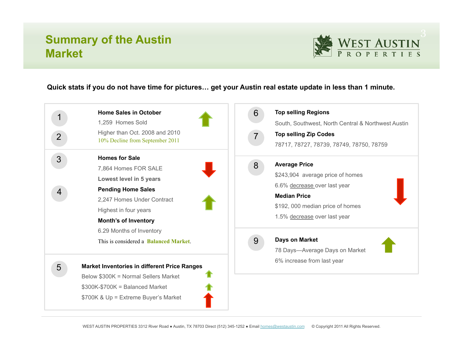# **Summary of the Austin Market**



#### **Quick stats if you do not have time for pictures… get your Austin real estate update in less than 1 minute.**

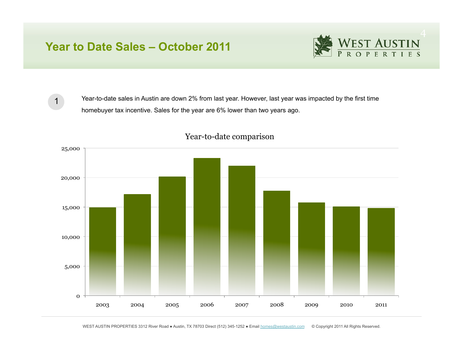### **Year to Date Sales – October 2011**



1

Year-to-date sales in Austin are down 2% from last year. However, last year was impacted by the first time homebuyer tax incentive. Sales for the year are 6% lower than two years ago.



#### Year-to-date comparison

WEST AUSTIN PROPERTIES 3312 River Road · Austin, TX 78703 Direct (512) 345-1252 · Email homes@westaustin.com © Copyright 2011 All Rights Reserved.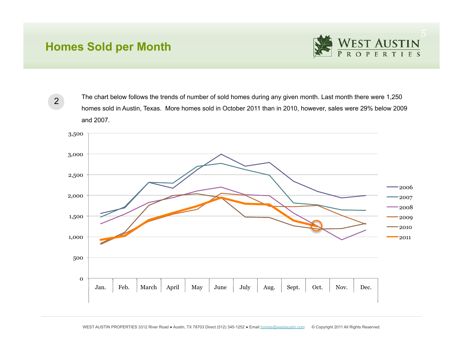# **Homes Sold per Month**



2

The chart below follows the trends of number of sold homes during any given month. Last month there were 1,250 homes sold in Austin, Texas. More homes sold in October 2011 than in 2010, however, sales were 29% below 2009 and 2007.

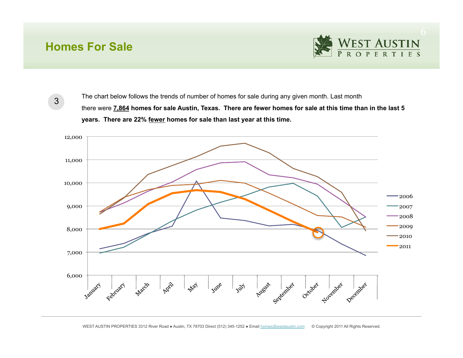### **Homes For Sale**



3

The chart below follows the trends of number of homes for sale during any given month. Last month there were **7,864 homes for sale Austin, Texas. There are fewer homes for sale at this time than in the last 5 years. There are 22% fewer homes for sale than last year at this time.** 

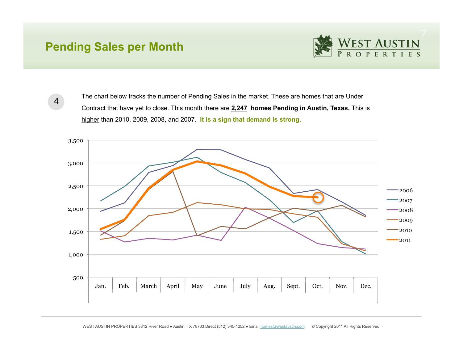### **Pending Sales per Month**



4

The chart below tracks the number of Pending Sales in the market. These are homes that are Under Contract that have yet to close. This month there are **2,247 homes Pending in Austin, Texas.** This is higher than 2010, 2009, 2008, and 2007. **It is a sign that demand is strong.**

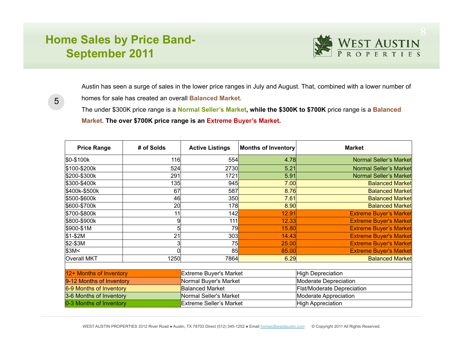# **Home Sales by Price Band-September 2011**



Austin has seen a surge of sales in the lower price ranges in July and August. That, combined with a lower number of homes for sale has created an overall **Balanced Market.** 

5

The under \$300K price range is a **Normal Seller's Market, while the \$300K to \$700K** price range is a **Balanced Market. The over \$700K price range is an Extreme Buyer's Market.**

| <b>Price Range</b>       | # of Solds | <b>Active Listings</b>         | Months of Inventory | <b>Market</b>                 |  |  |  |  |  |
|--------------------------|------------|--------------------------------|---------------------|-------------------------------|--|--|--|--|--|
| \$0-\$100k               | 116        | 554                            | 4.78                | <b>Normal Seller's Market</b> |  |  |  |  |  |
| \$100-\$200k             | 524        | 2730                           | 5.21                | <b>Normal Seller's Market</b> |  |  |  |  |  |
| \$200-\$300k             | 291        | 1721                           | 5.91                | <b>Normal Seller's Market</b> |  |  |  |  |  |
| \$300-\$400k             | 135        | 945                            | 7.00                | <b>Balanced Market</b>        |  |  |  |  |  |
| \$400k-\$500k            | 67         | 587                            | 8.76                | <b>Balanced Market</b>        |  |  |  |  |  |
| \$500-\$600k             | 46         | 350                            | 7.61                | <b>Balanced Market</b>        |  |  |  |  |  |
| \$600-\$700k             | 20         | 178                            | 8.90                | <b>Balanced Market</b>        |  |  |  |  |  |
| \$700-\$800k             | 11         | 142                            | 12.91               | <b>Extreme Buyer's Market</b> |  |  |  |  |  |
| \$800-\$900k             | 9          | 111                            | 12.33               | <b>Extreme Buyer's Market</b> |  |  |  |  |  |
| \$900-\$1M               |            | 79                             | 15.80               | <b>Extreme Buyer's Market</b> |  |  |  |  |  |
| $$1-$2M$                 | 21         | 303                            | 14.43               | <b>Extreme Buyer's Market</b> |  |  |  |  |  |
| \$2-\$3M                 | 3          | 75                             | 25.00               | <b>Extreme Buyer's Market</b> |  |  |  |  |  |
| \$3M<                    |            | 85                             | 85.00               | <b>Extreme Buyer's Market</b> |  |  |  |  |  |
| <b>Overall MKT</b>       | 1250       | 7864                           | 6.29                | <b>Balanced Market</b>        |  |  |  |  |  |
|                          |            |                                |                     |                               |  |  |  |  |  |
| 12+ Months of Inventory  |            | <b>Extreme Buyer's Market</b>  |                     | <b>High Depreciation</b>      |  |  |  |  |  |
| 9-12 Months of Inventory |            | Normal Buyer's Market          |                     | Moderate Depreciation         |  |  |  |  |  |
| 6-9 Months of Inventory  |            | <b>Balanced Market</b>         |                     | Flat/Moderate Depreciation    |  |  |  |  |  |
| 3-6 Months of Inventory  |            | Normal Seller's Market         |                     | Moderate Appreciation         |  |  |  |  |  |
| 0-3 Months of Inventory  |            | <b>Extreme Seller's Market</b> |                     | <b>High Appreciation</b>      |  |  |  |  |  |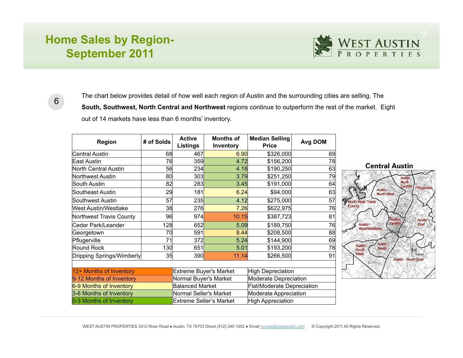# **Home Sales by Region-September 2011**



6

The chart below provides detail of how well each region of Austin and the surrounding cities are selling. The **South, Southwest, North Central and Northwest** regions continue to outperform the rest of the market. Eight out of 14 markets have less than 6 months' inventory.

| <b>Region</b>               | # of Solds                    | <b>Active</b><br><b>Listings</b> | <b>Months of</b><br>Inventory     | <b>Median Selling</b><br><b>Price</b> | Avg DOM |  |  |  |  |
|-----------------------------|-------------------------------|----------------------------------|-----------------------------------|---------------------------------------|---------|--|--|--|--|
| Central Austin              | 68                            | 467                              | 6.90                              | \$326,000                             | 69      |  |  |  |  |
| East Austin                 | 76                            | 359                              | 4.72                              | \$156,200                             | 78      |  |  |  |  |
| North Central Austin        | 56                            | 234                              | 4.18                              | \$190,250                             | 63      |  |  |  |  |
| Northwest Austin            | 80                            | 303                              | 3.79                              | \$251,250                             | 79      |  |  |  |  |
| South Austin                | 82                            | 283                              | 3.45                              | \$191,000                             | 64      |  |  |  |  |
| Southeast Austin            | 29                            | 181                              | 6.24                              | \$94,000                              | 63      |  |  |  |  |
| Southwest Austin            | 57                            | 235                              | 4.12                              | \$275,000                             | 57      |  |  |  |  |
| <b>West Austin/Westlake</b> | 38                            | 276                              | 7.26                              | \$622,975                             | 76      |  |  |  |  |
| Northwest Travis County     | 96                            | 974                              | 10.15                             | \$387,723                             | 81      |  |  |  |  |
| Cedar Park/Leander          | 128                           | 652                              | 5.09                              | \$189,750                             | 76      |  |  |  |  |
| Georgetown                  | 70                            | 591                              | 8.44                              | \$208,500                             | 88      |  |  |  |  |
| Pflugerville                | 71                            | 372                              | 5.24                              | \$144,900                             | 69      |  |  |  |  |
| Round Rock                  | 130                           | 651                              | 5.01                              | \$193,200                             | 78      |  |  |  |  |
| Dripping Springs/Wimberly   | 35                            | 390                              | 11.14                             | \$266,500                             | 91      |  |  |  |  |
|                             |                               |                                  |                                   |                                       |         |  |  |  |  |
| 12+ Months of Inventory     | <b>Extreme Buyer's Market</b> |                                  | <b>High Depreciation</b>          |                                       |         |  |  |  |  |
| 9-12 Months of Inventory    | Normal Buyer's Market         |                                  | Moderate Depreciation             |                                       |         |  |  |  |  |
| 6-9 Months of Inventory     | <b>Balanced Market</b>        |                                  | <b>Flat/Moderate Depreciation</b> |                                       |         |  |  |  |  |
| 3-6 Months of Inventory     | Normal Seller's Market        |                                  | Moderate Appreciation             |                                       |         |  |  |  |  |
| 0-3 Months of Inventory     |                               | Extreme Seller's Market          | <b>High Appreciation</b>          |                                       |         |  |  |  |  |

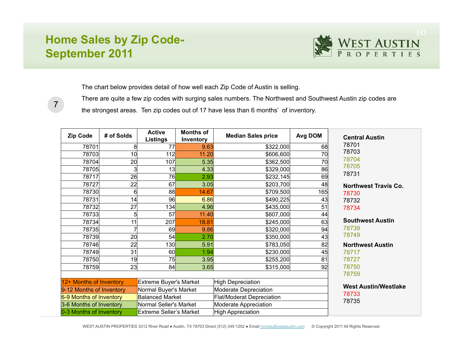# **Home Sales by Zip Code-September 2011**

7



The chart below provides detail of how well each Zip Code of Austin is selling.

There are quite a few zip codes with surging sales numbers. The Northwest and Southwest Austin zip codes are the strongest areas. Ten zip codes out of 17 have less than 6 months' of inventory.

| <b>Zip Code</b>                                                                       | # of Solds      | <b>Active</b><br><b>Listings</b> | <b>Months of</b><br>Inventory | <b>Median Sales price</b>        | Avg DOM                     | <b>Central Austin</b>       |  |
|---------------------------------------------------------------------------------------|-----------------|----------------------------------|-------------------------------|----------------------------------|-----------------------------|-----------------------------|--|
| 78701                                                                                 | 8               | 77                               | 9.63                          | \$322,000                        | 68                          | 78701                       |  |
| 78703                                                                                 | 10 <sup>1</sup> | 112                              | 11.20                         | \$606,600                        | 70                          | 78703                       |  |
| 78704                                                                                 | 20 <sup>°</sup> | 107                              | 5.35                          | \$362,500                        | 70                          | 78704<br>78705              |  |
| 78705                                                                                 | 3               | 13                               | 4.33                          | \$329,000                        | 86                          | 78731                       |  |
| 78717                                                                                 | 26              | 76                               | 2.93                          | \$232,145                        | 69                          |                             |  |
| 78727                                                                                 | 22              | 67                               | 3.05                          | \$203,700                        | 48                          | <b>Northwest Travis Co.</b> |  |
| 78730                                                                                 | 6               | 88                               | 14.67                         | \$709,500                        | 165                         | 78730                       |  |
| 78731                                                                                 | 14              | 96                               | 6.86                          | \$490,225                        | 43                          | 78732                       |  |
| 78732                                                                                 | 27              | 134                              | 4.96                          | \$435,000                        | 51                          | 78734                       |  |
| 78733                                                                                 | 5               | 57                               | 11.40                         | \$607,000                        | 44                          |                             |  |
| 78734                                                                                 | 11              | 207                              | 18.81                         | \$245,000                        | 63                          | <b>Southwest Austin</b>     |  |
| 78735                                                                                 |                 | 69                               | 9.86                          | \$320,000                        | 94                          | 78739                       |  |
| 78739                                                                                 | 20              | 54                               | 2.70                          | \$350,000                        | 43                          | 78749                       |  |
| 78746                                                                                 | 22              | 130                              | 5.91                          | \$783,050                        | 82                          | <b>Northwest Austin</b>     |  |
| 78749                                                                                 | 31              | 60                               | 1.94                          | \$230,000                        | 45                          | 78717                       |  |
| 78750                                                                                 | 19              | 75                               | 3.95                          | \$255,200                        | 81                          | 78727                       |  |
| 78759                                                                                 | 23              | 84                               | 3.65                          | \$315,000                        | 92                          | 78750<br>78759              |  |
|                                                                                       |                 |                                  |                               |                                  |                             |                             |  |
| 12+ Months of Inventory<br><b>Extreme Buyer's Market</b>                              |                 |                                  | <b>High Depreciation</b>      |                                  | <b>West Austin/Westlake</b> |                             |  |
| 9-12 Months of Inventory                                                              |                 | Normal Buyer's Market            |                               | Moderate Depreciation            |                             | 78733                       |  |
| 6-9 Months of Inventory                                                               |                 | <b>Balanced Market</b>           |                               | <b>Flat/Moderat Depreciation</b> |                             | 78735                       |  |
| 3-6 Months of Inventory                                                               |                 | Normal Seller's Market           |                               | Moderate Appreciation            |                             |                             |  |
| 0-3 Months of Inventory<br><b>High Appreciation</b><br><b>Extreme Seller's Market</b> |                 |                                  |                               |                                  |                             |                             |  |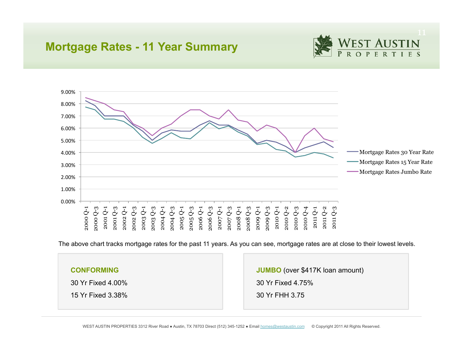### **Mortgage Rates - 11 Year Summary**





The above chart tracks mortgage rates for the past 11 years. As you can see, mortgage rates are at close to their lowest levels.

#### **CONFORMING**

30 Yr Fixed 4.00%

15 Yr Fixed 3.38%

**JUMBO** (over \$417K loan amount) 30 Yr Fixed 4.75% 30 Yr FHH 3.75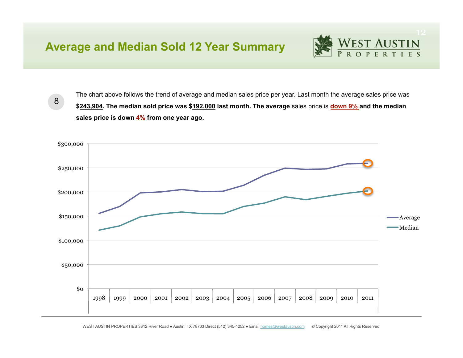### **Average and Median Sold 12 Year Summary**

WEST AUSTIN

8

The chart above follows the trend of average and median sales price per year. Last month the average sales price was **\$243,904. The median sold price was \$192,000 last month. The average** sales price is **down 9% and the median sales price is down 4% from one year ago.**

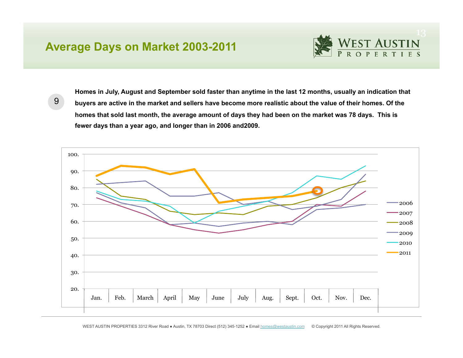### **Average Days on Market 2003-2011**



9

**Homes in July, August and September sold faster than anytime in the last 12 months, usually an indication that buyers are active in the market and sellers have become more realistic about the value of their homes. Of the homes that sold last month, the average amount of days they had been on the market was 78 days. This is fewer days than a year ago, and longer than in 2006 and2009.**